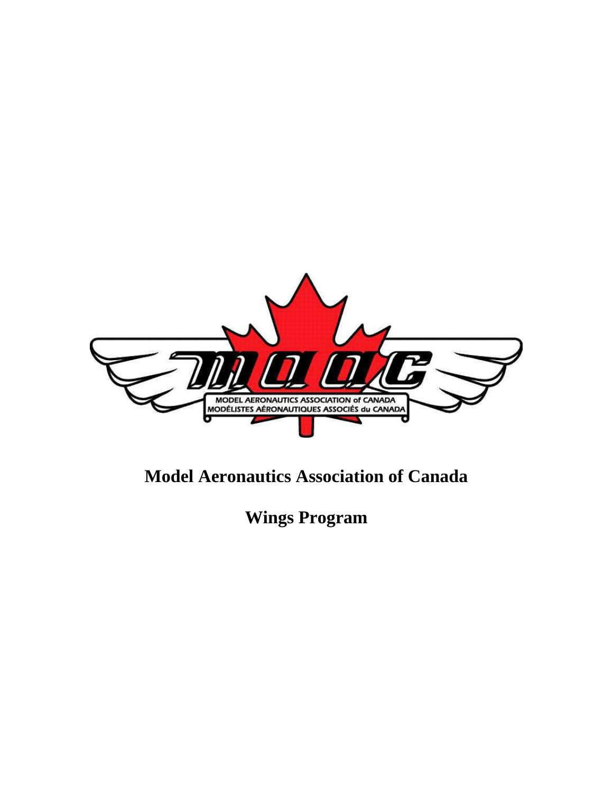

# **Model Aeronautics Association of Canada**

**Wings Program**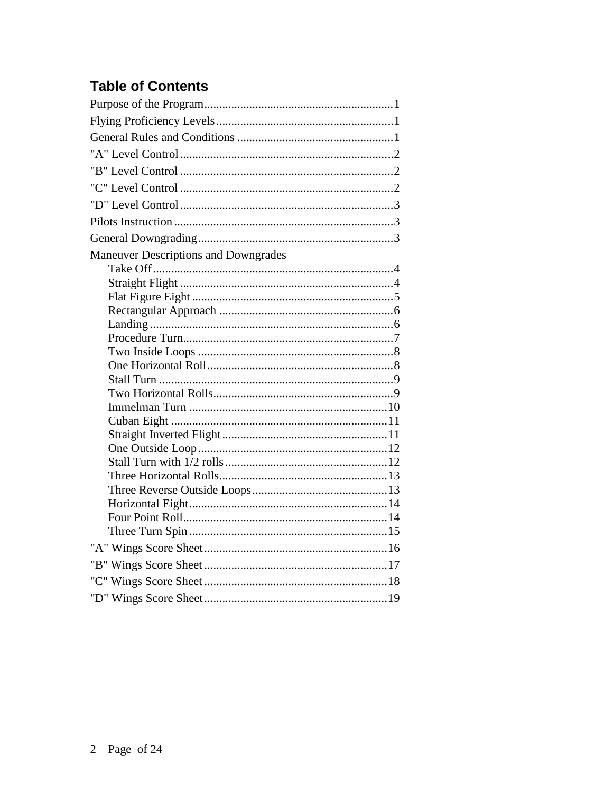# **Table of Contents**

| <b>Maneuver Descriptions and Downgrades</b> |
|---------------------------------------------|
|                                             |
|                                             |
|                                             |
|                                             |
|                                             |
|                                             |
|                                             |
|                                             |
|                                             |
|                                             |
|                                             |
|                                             |
|                                             |
|                                             |
|                                             |
|                                             |
|                                             |
|                                             |
|                                             |
|                                             |
|                                             |
|                                             |
|                                             |
|                                             |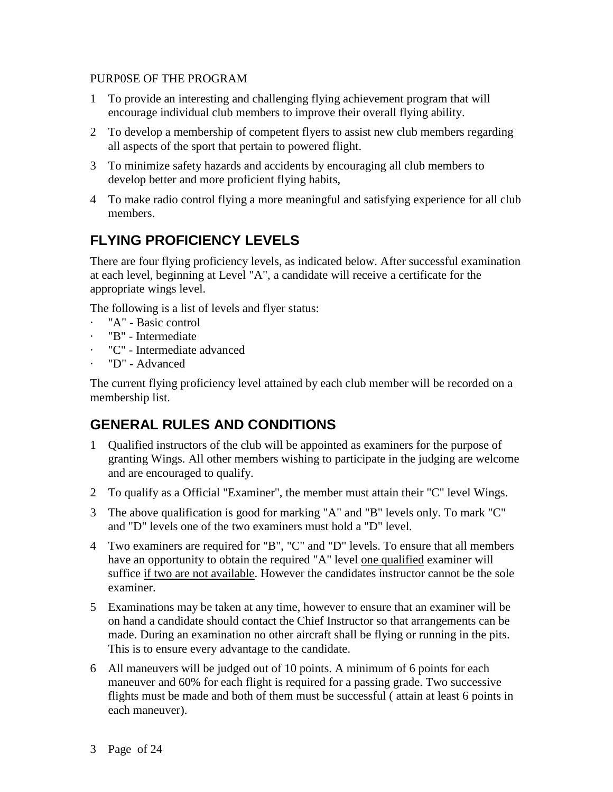### PURP0SE OF THE PROGRAM

- 1 To provide an interesting and challenging flying achievement program that will encourage individual club members to improve their overall flying ability.
- 2 To develop a membership of competent flyers to assist new club members regarding all aspects of the sport that pertain to powered flight.
- 3 To minimize safety hazards and accidents by encouraging all club members to develop better and more proficient flying habits,
- 4 To make radio control flying a more meaningful and satisfying experience for all club members.

# **FLYING PROFICIENCY LEVELS**

There are four flying proficiency levels, as indicated below. After successful examination at each level, beginning at Level "A", a candidate will receive a certificate for the appropriate wings level.

The following is a list of levels and flyer status:

- · "A" Basic control
- · "B" Intermediate
- · "C" Intermediate advanced
- · "D" Advanced

The current flying proficiency level attained by each club member will be recorded on a membership list.

## **GENERAL RULES AND CONDITIONS**

- 1 Qualified instructors of the club will be appointed as examiners for the purpose of granting Wings. All other members wishing to participate in the judging are welcome and are encouraged to qualify.
- 2 To qualify as a Official "Examiner", the member must attain their "C" level Wings.
- 3 The above qualification is good for marking "A" and "B" levels only. To mark "C" and "D" levels one of the two examiners must hold a "D" level.
- 4 Two examiners are required for "B", "C" and "D" levels. To ensure that all members have an opportunity to obtain the required "A" level <u>one qualified</u> examiner will suffice if two are not available. However the candidates instructor cannot be the sole examiner.
- 5 Examinations may be taken at any time, however to ensure that an examiner will be on hand a candidate should contact the Chief Instructor so that arrangements can be made. During an examination no other aircraft shall be flying or running in the pits. This is to ensure every advantage to the candidate.
- 6 All maneuvers will be judged out of 10 points. A minimum of 6 points for each maneuver and 60% for each flight is required for a passing grade. Two successive flights must be made and both of them must be successful ( attain at least 6 points in each maneuver).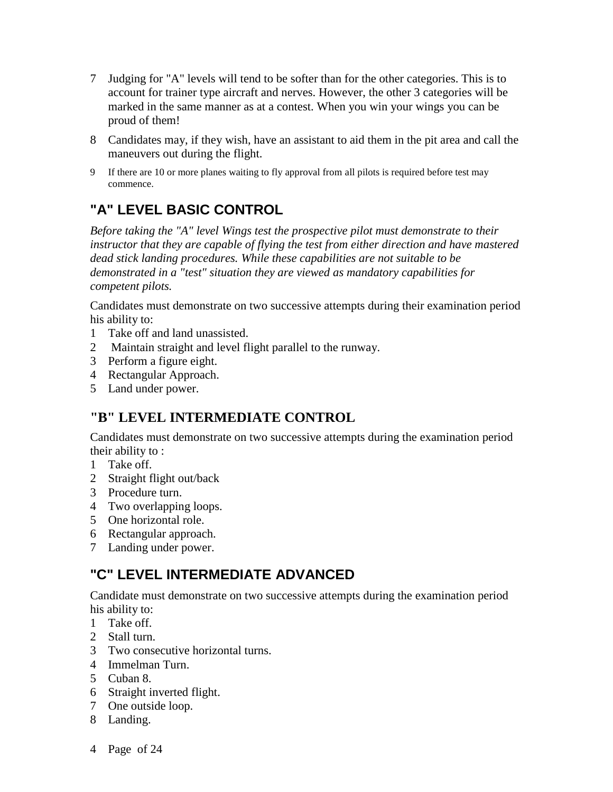- 7 Judging for "A" levels will tend to be softer than for the other categories. This is to account for trainer type aircraft and nerves. However, the other 3 categories will be marked in the same manner as at a contest. When you win your wings you can be proud of them!
- 8 Candidates may, if they wish, have an assistant to aid them in the pit area and call the maneuvers out during the flight.
- 9 If there are 10 or more planes waiting to fly approval from all pilots is required before test may commence.

# **"A" LEVEL BASIC CONTROL**

*Before taking the "A" level Wings test the prospective pilot must demonstrate to their instructor that they are capable of flying the test from either direction and have mastered dead stick landing procedures. While these capabilities are not suitable to be demonstrated in a "test" situation they are viewed as mandatory capabilities for competent pilots.*

Candidates must demonstrate on two successive attempts during their examination period his ability to:

- 1 Take off and land unassisted.
- 2 Maintain straight and level flight parallel to the runway.
- 3 Perform a figure eight.
- 4 Rectangular Approach.
- 5 Land under power.

## **"B" LEVEL INTERMEDIATE CONTROL**

Candidates must demonstrate on two successive attempts during the examination period their ability to :

- 1 Take off.
- 2 Straight flight out/back
- 3 Procedure turn.
- 4 Two overlapping loops.
- 5 One horizontal role.
- 6 Rectangular approach.
- 7 Landing under power.

# **"C" LEVEL INTERMEDIATE ADVANCED**

Candidate must demonstrate on two successive attempts during the examination period his ability to:

- 1 Take off.
- 2 Stall turn.
- 3 Two consecutive horizontal turns.
- 4 Immelman Turn.
- 5 Cuban 8.
- 6 Straight inverted flight.
- 7 One outside loop.
- 8 Landing.
- 4 Page of 24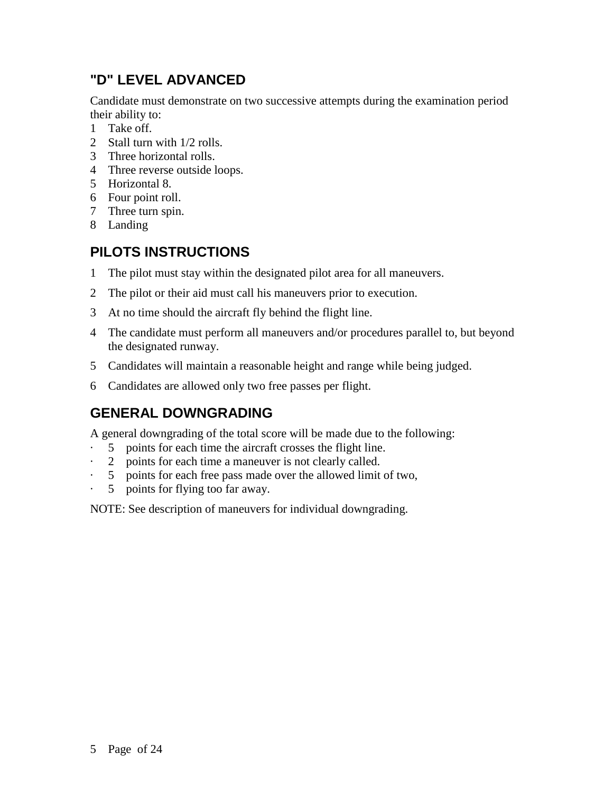# **"D" LEVEL ADVANCED**

Candidate must demonstrate on two successive attempts during the examination period their ability to:

- 1 Take off.
- 2 Stall turn with 1/2 rolls.
- 3 Three horizontal rolls.
- 4 Three reverse outside loops.
- 5 Horizontal 8.
- 6 Four point roll.
- 7 Three turn spin.
- 8 Landing

# **PILOTS INSTRUCTIONS**

- 1 The pilot must stay within the designated pilot area for all maneuvers.
- 2 The pilot or their aid must call his maneuvers prior to execution.
- 3 At no time should the aircraft fly behind the flight line.
- 4 The candidate must perform all maneuvers and/or procedures parallel to, but beyond the designated runway.
- 5 Candidates will maintain a reasonable height and range while being judged.
- 6 Candidates are allowed only two free passes per flight.

## **GENERAL DOWNGRADING**

A general downgrading of the total score will be made due to the following:

- · 5 points for each time the aircraft crosses the flight line.
- · 2 points for each time a maneuver is not clearly called.
- 5 points for each free pass made over the allowed limit of two,
- 5 points for flying too far away.

NOTE: See description of maneuvers for individual downgrading.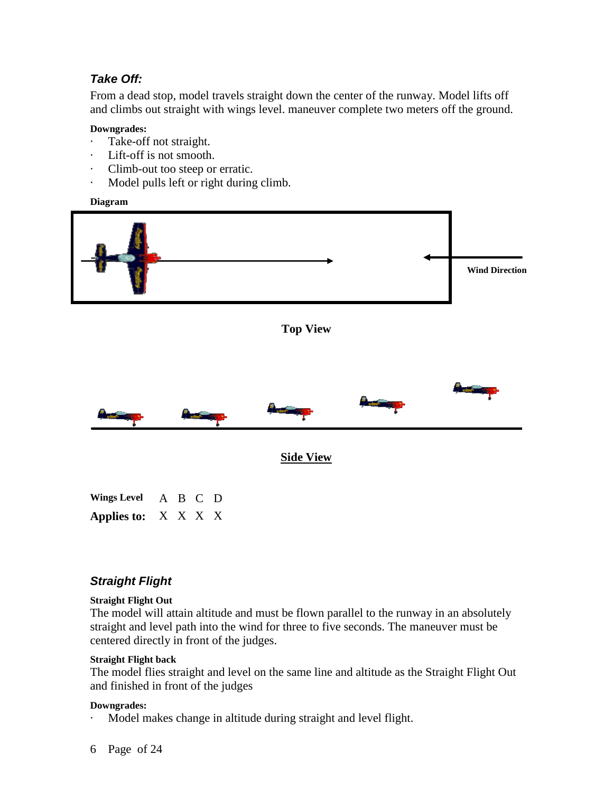## *Take Off:*

From a dead stop, model travels straight down the center of the runway. Model lifts off and climbs out straight with wings level. maneuver complete two meters off the ground.

### **Downgrades:**

- Take-off not straight.
- · Lift-off is not smooth.
- · Climb-out too steep or erratic.
- · Model pulls left or right during climb.

**Diagram**



*Straight Flight*

**Applies to:** X X X X

## **Straight Flight Out**

The model will attain altitude and must be flown parallel to the runway in an absolutely straight and level path into the wind for three to five seconds. The maneuver must be centered directly in front of the judges.

### **Straight Flight back**

The model flies straight and level on the same line and altitude as the Straight Flight Out and finished in front of the judges

#### **Downgrades:**

Model makes change in altitude during straight and level flight.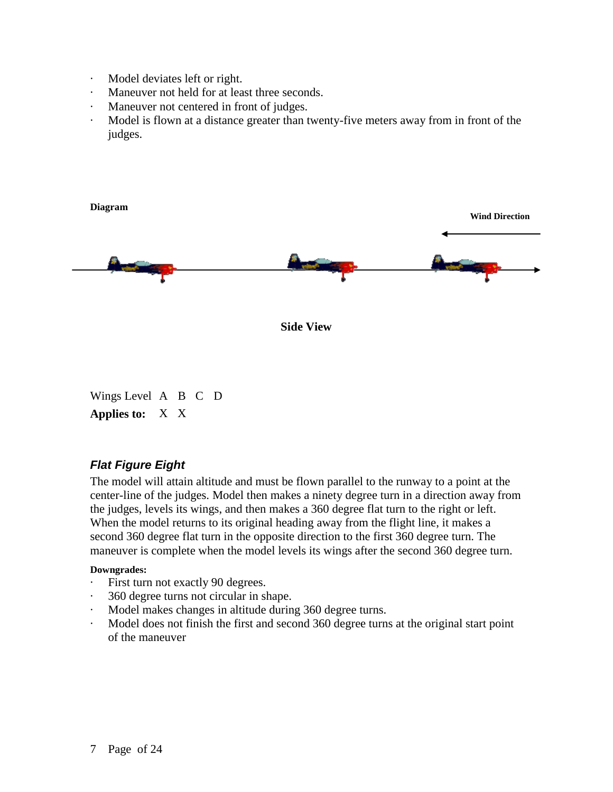- · Model deviates left or right.
- · Maneuver not held for at least three seconds.
- · Maneuver not centered in front of judges.
- Model is flown at a distance greater than twenty-five meters away from in front of the judges.



Wings Level A B C D **Applies to:** X X

## *Flat Figure Eight*

The model will attain altitude and must be flown parallel to the runway to a point at the center-line of the judges. Model then makes a ninety degree turn in a direction away from the judges, levels its wings, and then makes a 360 degree flat turn to the right or left. When the model returns to its original heading away from the flight line, it makes a second 360 degree flat turn in the opposite direction to the first 360 degree turn. The maneuver is complete when the model levels its wings after the second 360 degree turn.

- · First turn not exactly 90 degrees.
- · 360 degree turns not circular in shape.
- · Model makes changes in altitude during 360 degree turns.
- Model does not finish the first and second 360 degree turns at the original start point of the maneuver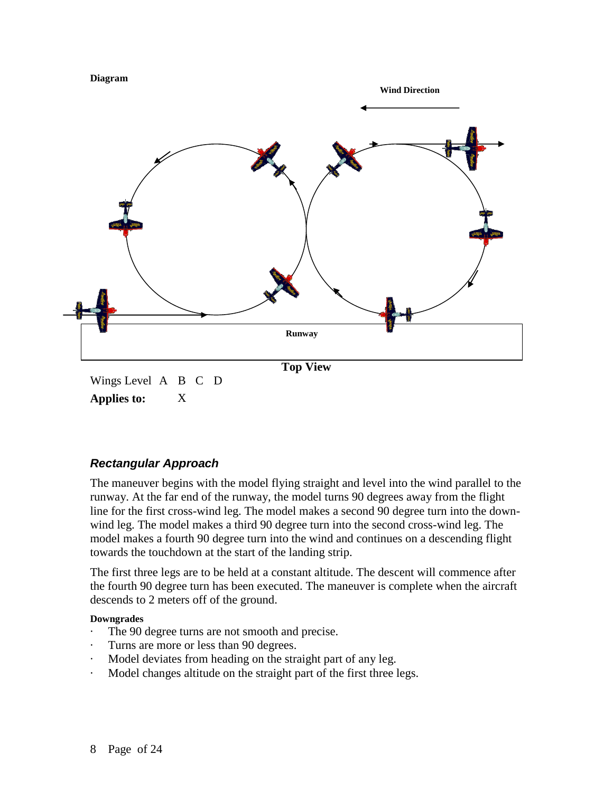



## *Rectangular Approach*

The maneuver begins with the model flying straight and level into the wind parallel to the runway. At the far end of the runway, the model turns 90 degrees away from the flight line for the first cross-wind leg. The model makes a second 90 degree turn into the downwind leg. The model makes a third 90 degree turn into the second cross-wind leg. The model makes a fourth 90 degree turn into the wind and continues on a descending flight towards the touchdown at the start of the landing strip.

The first three legs are to be held at a constant altitude. The descent will commence after the fourth 90 degree turn has been executed. The maneuver is complete when the aircraft descends to 2 meters off of the ground.

- The 90 degree turns are not smooth and precise.
- Turns are more or less than 90 degrees.
- Model deviates from heading on the straight part of any leg.
- Model changes altitude on the straight part of the first three legs.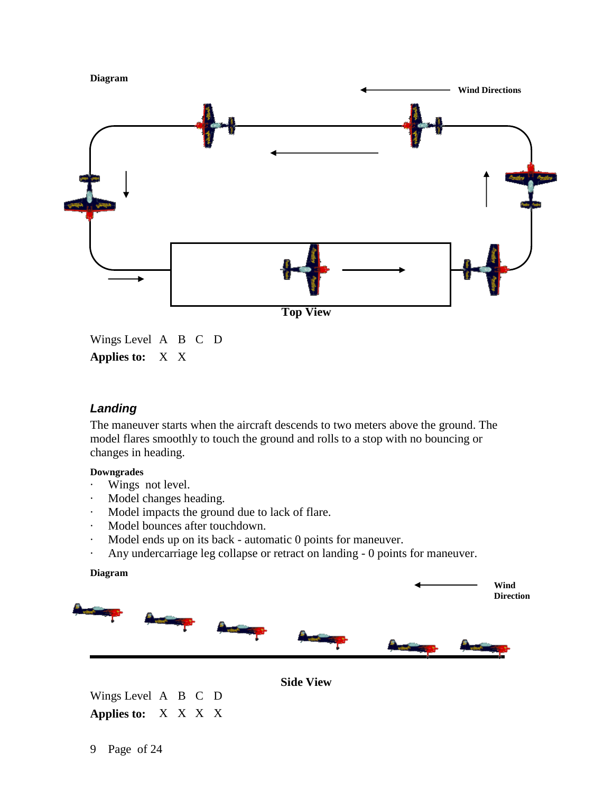

Wings Level A B C D **Applies to:** X X

## *Landing*

The maneuver starts when the aircraft descends to two meters above the ground. The model flares smoothly to touch the ground and rolls to a stop with no bouncing or changes in heading.

### **Downgrades**

- Wings not level.
- · Model changes heading.
- · Model impacts the ground due to lack of flare.
- · Model bounces after touchdown.
- · Model ends up on its back automatic 0 points for maneuver.
- · Any undercarriage leg collapse or retract on landing 0 points for maneuver.

#### **Diagram**



**Side View**

Wings Level A B C D **Applies to:** X X X X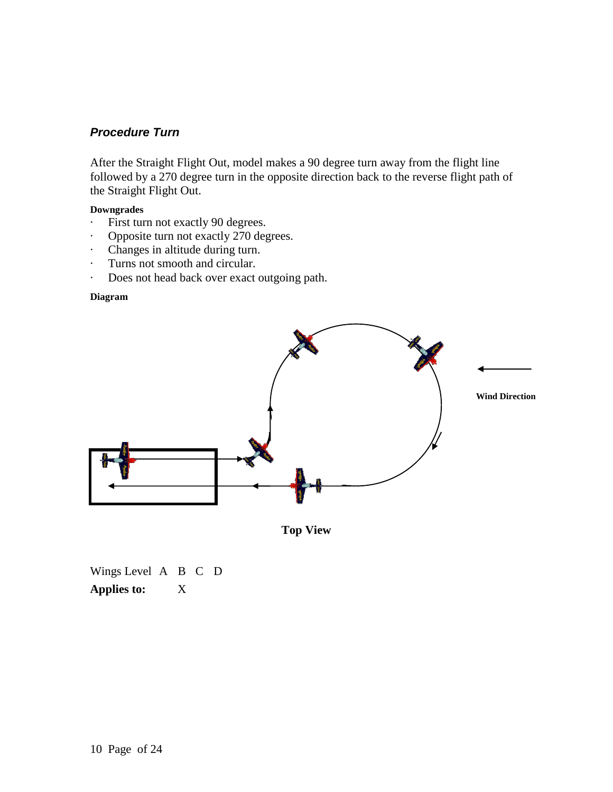## *Procedure Turn*

After the Straight Flight Out, model makes a 90 degree turn away from the flight line followed by a 270 degree turn in the opposite direction back to the reverse flight path of the Straight Flight Out.

## **Downgrades**

- · First turn not exactly 90 degrees.
- · Opposite turn not exactly 270 degrees.
- · Changes in altitude during turn.
- · Turns not smooth and circular.
- · Does not head back over exact outgoing path.

#### **Diagram**



**Top View**

Wings Level A B C D **Applies to:** X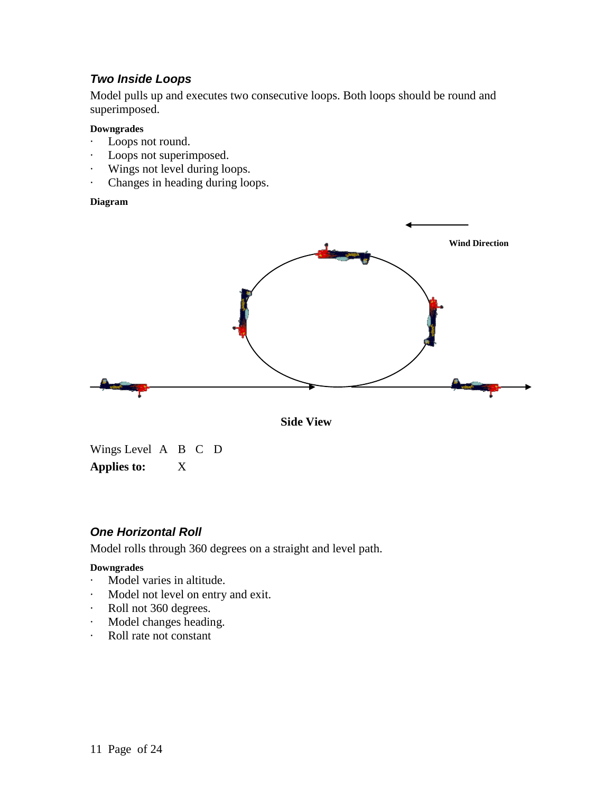## *Two Inside Loops*

Model pulls up and executes two consecutive loops. Both loops should be round and superimposed.

#### **Downgrades**

- · Loops not round.
- · Loops not superimposed.
- · Wings not level during loops.
- · Changes in heading during loops.

#### **Diagram**





Wings Level A B C D **Applies to:** X

## *One Horizontal Roll*

Model rolls through 360 degrees on a straight and level path.

- · Model varies in altitude.
- · Model not level on entry and exit.
- · Roll not 360 degrees.
- · Model changes heading.
- · Roll rate not constant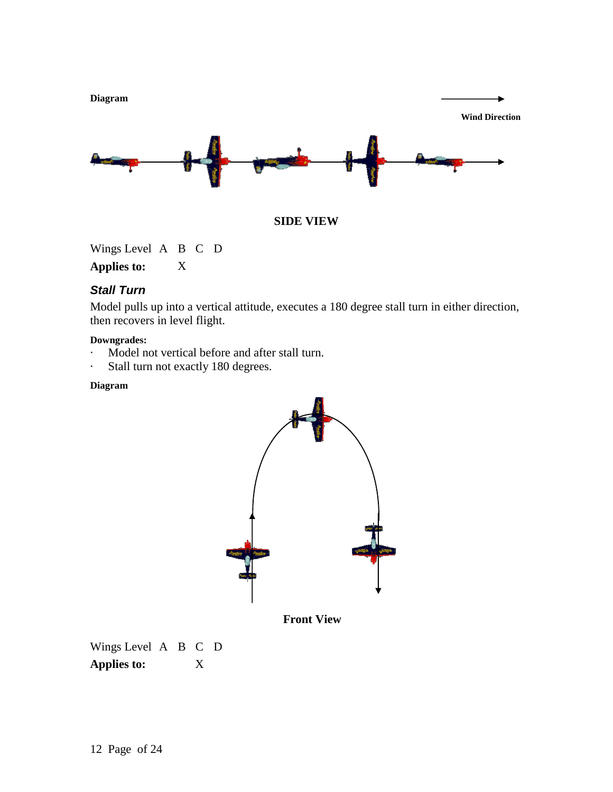



Wings Level A B C D

**Applies to:** X

## *Stall Turn*

Model pulls up into a vertical attitude, executes a 180 degree stall turn in either direction, then recovers in level flight.

### **Downgrades:**

- · Model not vertical before and after stall turn.
- · Stall turn not exactly 180 degrees.

## **Diagram**



 **Front View**

Wings Level A B C D **Applies to:** X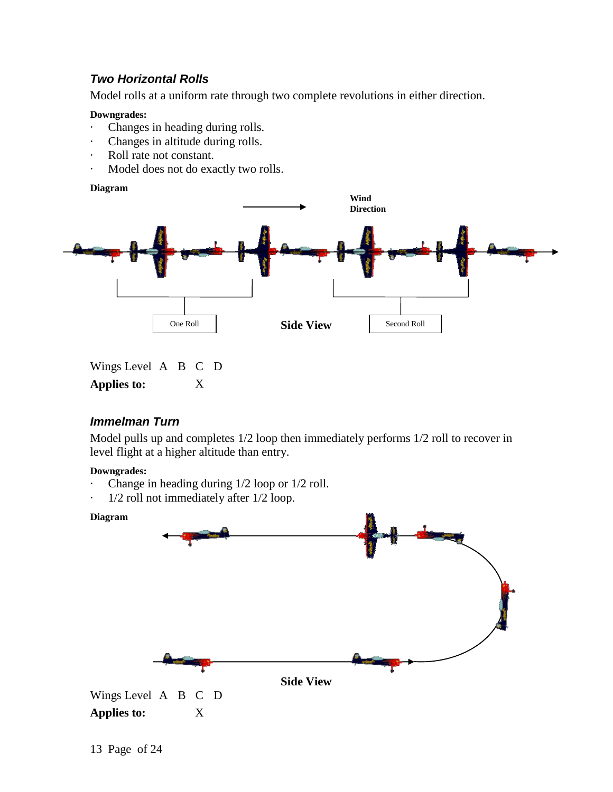## *Two Horizontal Rolls*

Model rolls at a uniform rate through two complete revolutions in either direction.

#### **Downgrades:**

- · Changes in heading during rolls.
- · Changes in altitude during rolls.
- · Roll rate not constant.
- · Model does not do exactly two rolls.

#### **Diagram**



Wings Level A B C D **Applies to:** X

## *Immelman Turn*

Model pulls up and completes 1/2 loop then immediately performs 1/2 roll to recover in level flight at a higher altitude than entry.

- Change in heading during  $1/2$  loop or  $1/2$  roll.
- $1/2$  roll not immediately after  $1/2$  loop.

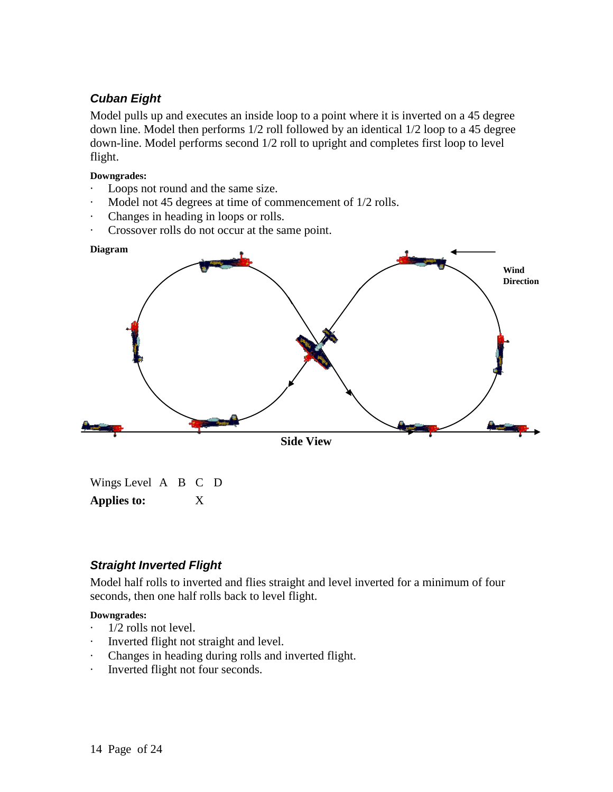## *Cuban Eight*

Model pulls up and executes an inside loop to a point where it is inverted on a 45 degree down line. Model then performs 1/2 roll followed by an identical 1/2 loop to a 45 degree down-line. Model performs second 1/2 roll to upright and completes first loop to level flight.

### **Downgrades:**

- Loops not round and the same size.
- Model not 45 degrees at time of commencement of  $1/2$  rolls.
- · Changes in heading in loops or rolls.
- Crossover rolls do not occur at the same point.



Wings Level A B C D **Applies to:** X

## *Straight Inverted Flight*

Model half rolls to inverted and flies straight and level inverted for a minimum of four seconds, then one half rolls back to level flight.

- · 1/2 rolls not level.
- Inverted flight not straight and level.
- · Changes in heading during rolls and inverted flight.
- · Inverted flight not four seconds.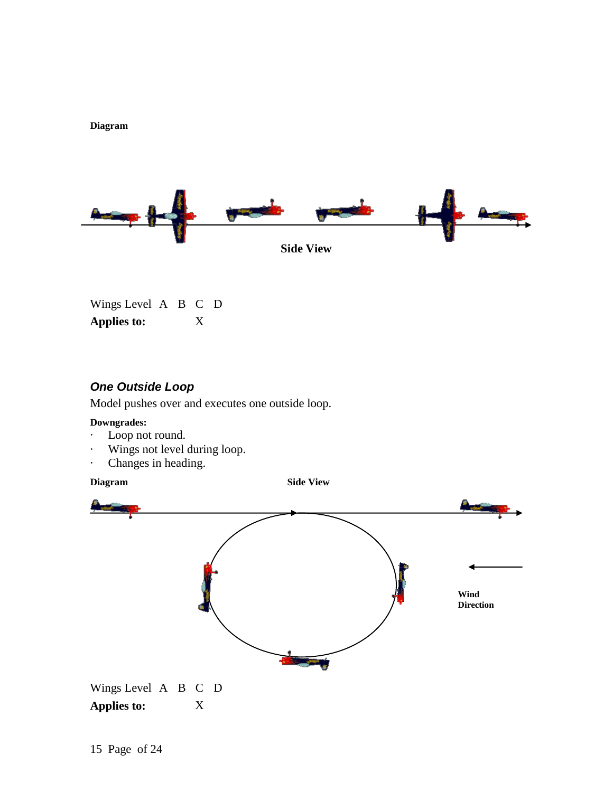



Wings Level A B C D **Applies to:** X

## *One Outside Loop*

Model pushes over and executes one outside loop.

#### **Downgrades:**

- · Loop not round.
- · Wings not level during loop.
- · Changes in heading.

**Diagram Side View**

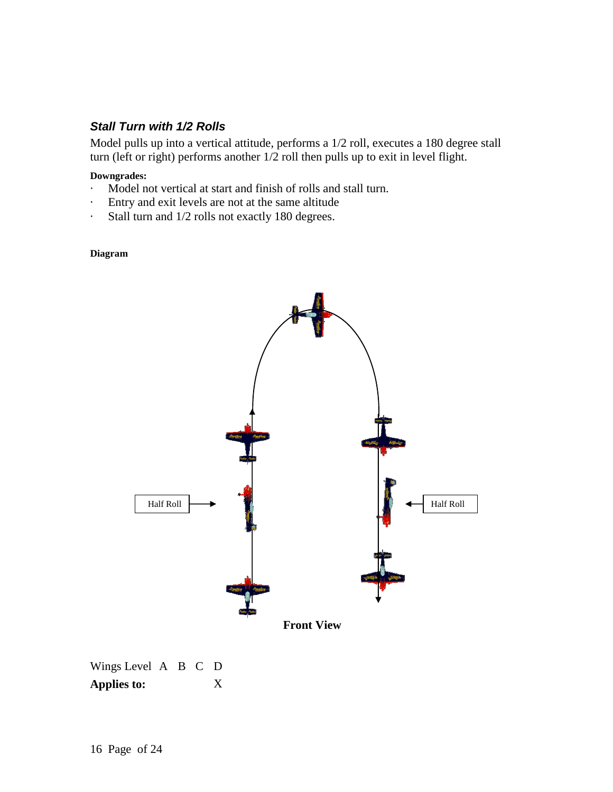## *Stall Turn with 1/2 Rolls*

Model pulls up into a vertical attitude, performs a 1/2 roll, executes a 180 degree stall turn (left or right) performs another 1/2 roll then pulls up to exit in level flight.

#### **Downgrades:**

- Model not vertical at start and finish of rolls and stall turn.
- · Entry and exit levels are not at the same altitude
- · Stall turn and 1/2 rolls not exactly 180 degrees.

#### **Diagram**



Wings Level A B C D **Applies to:** X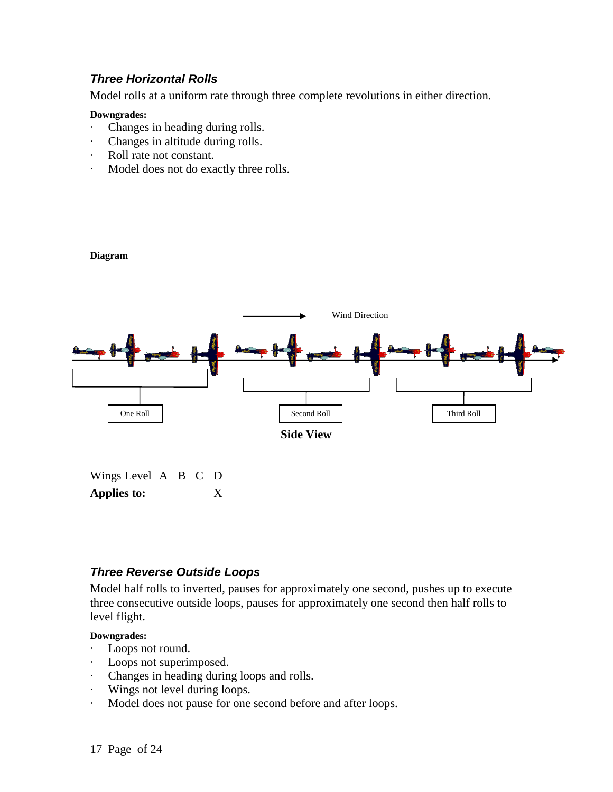## *Three Horizontal Rolls*

Model rolls at a uniform rate through three complete revolutions in either direction.

#### **Downgrades:**

**Diagram**

- · Changes in heading during rolls.
- · Changes in altitude during rolls.
- · Roll rate not constant.
- · Model does not do exactly three rolls.



| Wings Level A B C D |  |   |  |
|---------------------|--|---|--|
| <b>Applies to:</b>  |  | X |  |

## *Three Reverse Outside Loops*

Model half rolls to inverted, pauses for approximately one second, pushes up to execute three consecutive outside loops, pauses for approximately one second then half rolls to level flight.

- · Loops not round.
- · Loops not superimposed.
- · Changes in heading during loops and rolls.
- · Wings not level during loops.
- · Model does not pause for one second before and after loops.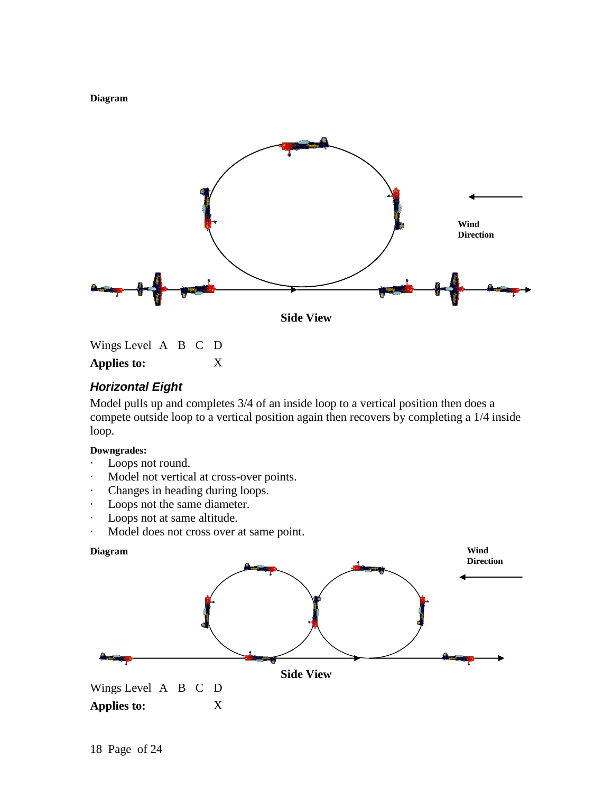**Diagram**



Wings Level A B C D **Applies to:** X

## *Horizontal Eight*

Model pulls up and completes 3/4 of an inside loop to a vertical position then does a compete outside loop to a vertical position again then recovers by completing a 1/4 inside loop.

- Loops not round.
- · Model not vertical at cross-over points.
- · Changes in heading during loops.
- · Loops not the same diameter.
- · Loops not at same altitude.
- · Model does not cross over at same point.

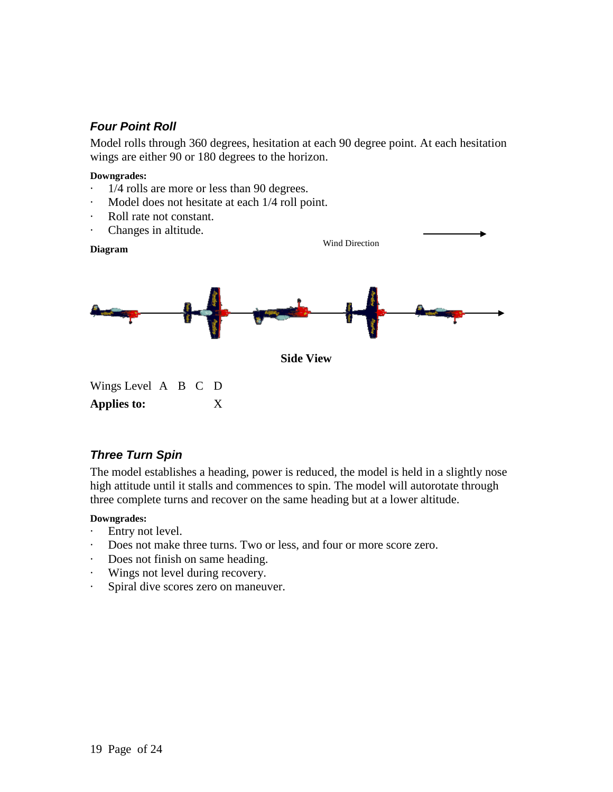## *Four Point Roll*

Model rolls through 360 degrees, hesitation at each 90 degree point. At each hesitation wings are either 90 or 180 degrees to the horizon.

#### **Downgrades:**

- · 1/4 rolls are more or less than 90 degrees.
- · Model does not hesitate at each 1/4 roll point.
- Roll rate not constant.
- · Changes in altitude.



## *Three Turn Spin*

The model establishes a heading, power is reduced, the model is held in a slightly nose high attitude until it stalls and commences to spin. The model will autorotate through three complete turns and recover on the same heading but at a lower altitude.

- · Entry not level.
- · Does not make three turns. Two or less, and four or more score zero.
- · Does not finish on same heading.
- · Wings not level during recovery.
- · Spiral dive scores zero on maneuver.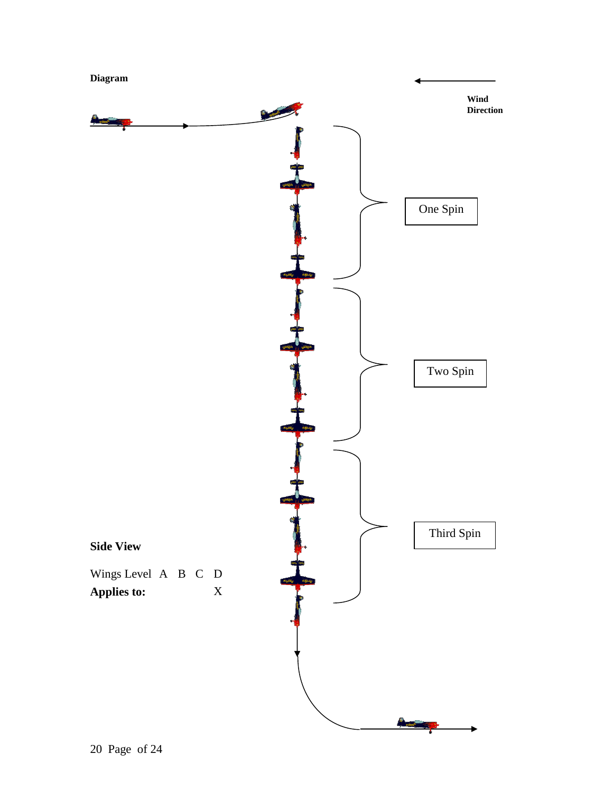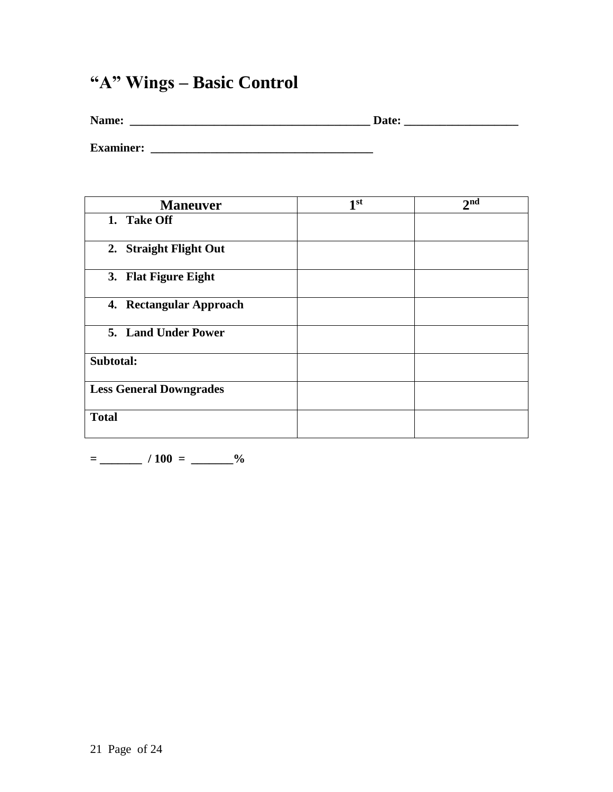# **"A" Wings – Basic Control**

| Name:            | Date: |  |
|------------------|-------|--|
|                  |       |  |
| <b>Examiner:</b> |       |  |

**Maneuver 1 1**st 2<sup>nd</sup> **1. Take Off 2. Straight Flight Out 3. Flat Figure Eight 4. Rectangular Approach 5. Land Under Power Subtotal: Less General Downgrades Total**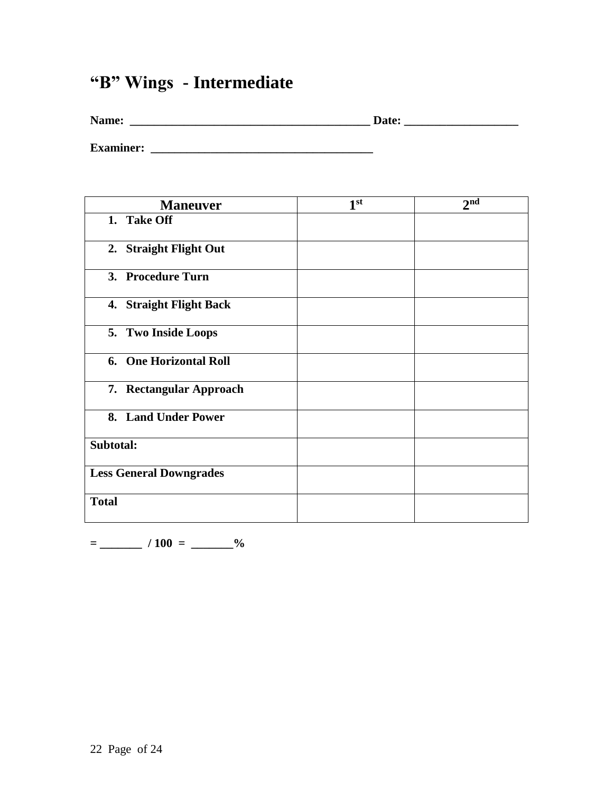# **"B" Wings - Intermediate**

| Name:            | Date: |  |  |
|------------------|-------|--|--|
|                  |       |  |  |
| <b>Examiner:</b> |       |  |  |

**Maneuver 1**  $\overline{1^{st}}$ 2<sup>nd</sup> **1. Take Off 2. Straight Flight Out 3. Procedure Turn 4. Straight Flight Back 5. Two Inside Loops 6. One Horizontal Roll 7. Rectangular Approach 8. Land Under Power Subtotal: Less General Downgrades Total**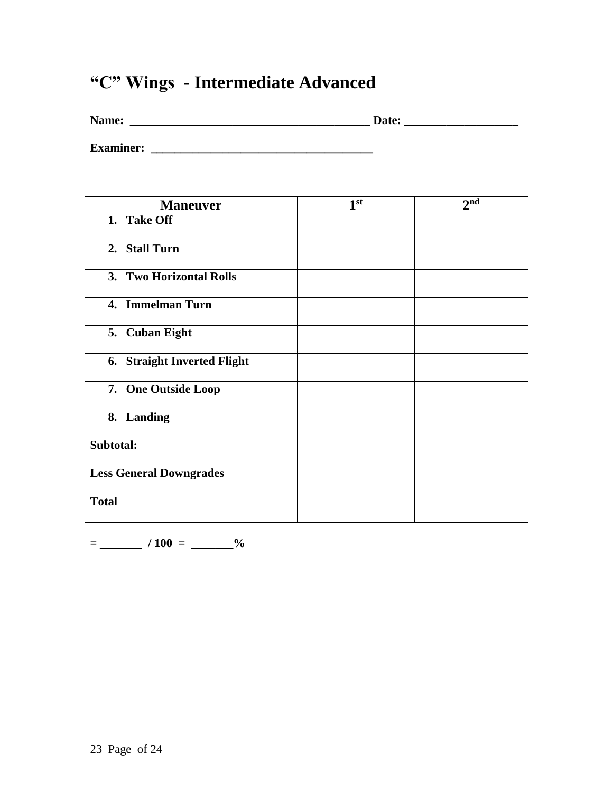# **"C" Wings - Intermediate Advanced**

| Name: | Date: |
|-------|-------|
|       |       |

**Examiner: \_\_\_\_\_\_\_\_\_\_\_\_\_\_\_\_\_\_\_\_\_\_\_\_\_\_\_\_\_\_\_\_\_\_\_\_\_**

| <b>Maneuver</b>                | 1 <sup>st</sup> | 2 <sub>nd</sub> |
|--------------------------------|-----------------|-----------------|
| 1. Take Off                    |                 |                 |
| 2. Stall Turn                  |                 |                 |
| 3. Two Horizontal Rolls        |                 |                 |
| 4. Immelman Turn               |                 |                 |
| 5. Cuban Eight                 |                 |                 |
| 6. Straight Inverted Flight    |                 |                 |
| 7. One Outside Loop            |                 |                 |
| 8. Landing                     |                 |                 |
| Subtotal:                      |                 |                 |
| <b>Less General Downgrades</b> |                 |                 |
| <b>Total</b>                   |                 |                 |